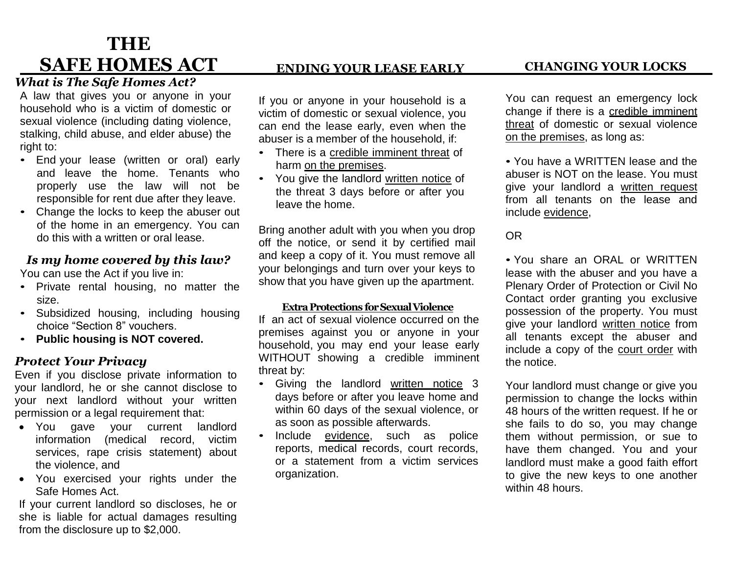# **THE SAFE HOMES ACT**

# *What is The Safe Homes Act?*

A law that gives you or anyone in your household who is a victim of domestic or sexual violence (including dating violence, stalking, child abuse, and elder abuse) the right to:

- End your lease (written or oral) early and leave the home. Tenants who properly use the law will not be responsible for rent due after they leave.
- Change the locks to keep the abuser out of the home in an emergency. You can do this with a written or oral lease.

## *Is my home covered by this law?*

You can use the Act if you live in:

- Private rental housing, no matter the size.
- Subsidized housing, including housing choice "Section 8" vouchers.
- **Public housing is NOT covered.**

# *Protect Your Privacy*

Even if you disclose private information to your landlord, he or she cannot disclose to your next landlord without your written permission or a legal requirement that:

- You gave your current landlord information (medical record, victim services, rape crisis statement) about the violence, and
- You exercised your rights under the Safe Homes Act.

If your current landlord so discloses, he or she is liable for actual damages resulting from the disclosure up to \$2,000.

# **ENDING YOUR LEASE EARLY**

If you or anyone in your household is a victim of domestic or sexual violence, you can end the lease early, even when the abuser is a member of the household, if:

- There is a credible imminent threat of harm on the premises.
- You give the landlord written notice of the threat 3 days before or after you leave the home.

Bring another adult with you when you drop off the notice, or send it by certified mail and keep a copy of it. You must remove all your belongings and turn over your keys to show that you have given up the apartment.

#### **ExtraProtections forSexualViolence**

If an act of sexual violence occurred on the premises against you or anyone in your household, you may end your lease early WITHOUT showing a credible imminent threat by:

- Giving the landlord written notice 3 days before or after you leave home and within 60 days of the sexual violence, or as soon as possible afterwards.
- Include evidence, such as police reports, medical records, court records, or a statement from a victim services organization.

You can request an emergency lock change if there is a credible imminent threat of domestic or sexual violence on the premises, as long as:

• You have a WRITTEN lease and the abuser is NOT on the lease. You must give your landlord a written request from all tenants on the lease and include evidence,

# OR

• You share an ORAL or WRITTEN lease with the abuser and you have a Plenary Order of Protection or Civil No Contact order granting you exclusive possession of the property. You must give your landlord written notice from all tenants except the abuser and include a copy of the court order with the notice.

Your landlord must change or give you permission to change the locks within 48 hours of the written request. If he or she fails to do so, you may change them without permission, or sue to have them changed. You and your landlord must make a good faith effort to give the new keys to one another within 48 hours.